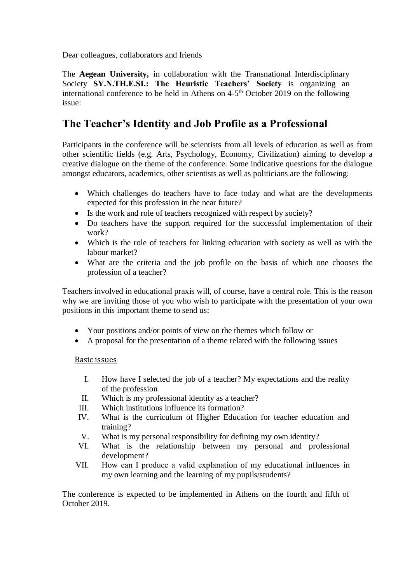Dear colleagues, collaborators and friends

The **Aegean University,** in collaboration with the Transnational Interdisciplinary Society **SY.N.TH.E.SI.: The Heuristic Teachers' Society** is organizing an international conference to be held in Athens on 4-5<sup>th</sup> October 2019 on the following issue:

## **The Teacher's Identity and Job Profile as a Professional**

Participants in the conference will be scientists from all levels of education as well as from other scientific fields (e.g. Arts, Psychology, Economy, Civilization) aiming to develop a creative dialogue on the theme of the conference. Some indicative questions for the dialogue amongst educators, academics, other scientists as well as politicians are the following:

- Which challenges do teachers have to face today and what are the developments expected for this profession in the near future?
- Is the work and role of teachers recognized with respect by society?
- Do teachers have the support required for the successful implementation of their work?
- Which is the role of teachers for linking education with society as well as with the labour market?
- What are the criteria and the job profile on the basis of which one chooses the profession of a teacher?

Teachers involved in educational praxis will, of course, have a central role. This is the reason why we are inviting those of you who wish to participate with the presentation of your own positions in this important theme to send us:

- Your positions and/or points of view on the themes which follow or
- A proposal for the presentation of a theme related with the following issues

## Basic issues

- I. How have I selected the job of a teacher? My expectations and the reality of the profession
- II. Which is my professional identity as a teacher?
- III. Which institutions influence its formation?
- IV. What is the curriculum of Higher Education for teacher education and training?
- V. What is my personal responsibility for defining my own identity?
- VI. What is the relationship between my personal and professional development?
- VII. How can Ι produce a valid explanation of my educational influences in my own learning and the learning of my pupils/students?

The conference is expected to be implemented in Athens on the fourth and fifth of October 2019.